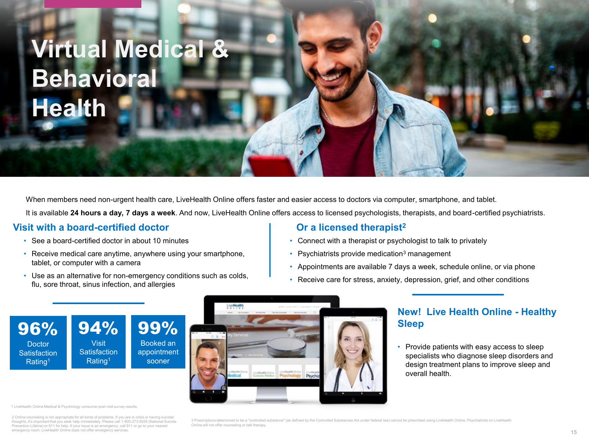## **Virtual Medical & Behavioral Health**

When members need non-urgent health care, LiveHealth Online offers faster and easier access to doctors via computer, smartphone, and tablet.

It is available **24 hours a day, 7 days a week**. And now, LiveHealth Online offers access to licensed psychologists, therapists, and board-certified psychiatrists.

#### **Visit with a board-certified doctor**

See a board-certified doctor in about 10 minutes

94% Visit **Satisfaction** Rating1

- Receive medical care anytime, anywhere using your smartphone, tablet, or computer with a camera
- Use as an alternative for non-emergency conditions such as colds, flu, sore throat, sinus infection, and allergies

#### **Or a licensed therapist<sup>2</sup>**

- Connect with a therapist or psychologist to talk to privately
- **Psychiatrists provide medication**<sup>3</sup> management
- Appointments are available 7 days a week, schedule online, or via phone
- Receive care for stress, anxiety, depression, grief, and other conditions

96% **Doctor Satisfaction** Rating1

99% Booked an appointment sooner



#### **New! Live Health Online - Healthy Sleep**

 Provide patients with easy access to sleep specialists who diagnose sleep disorders and design treatment plans to improve sleep and overall health.

1 LiveHealth Online Medical & Psychology consumer post-visit survey results.

2 Online counseling is not appropriate for all kinds of problems. If you are in crisis or having suicidal thoughts, it's important that you seek help immediately. Please call 1-800-273-8255 (National Suicid Prevention Lifeline) or 911 for help. If your issue is an emergency, call 911 or go to your nearest emergency room. LiveHealth Online does not offer emergency services.

3 Prescriptions determined to be a "controlled substance" (as defined by the Controlled Substances Act under federal law) cannot be prescribed using LiveHealth Online. Psychiatrists on LiveHealth Online will not offer counseling or talk therapy.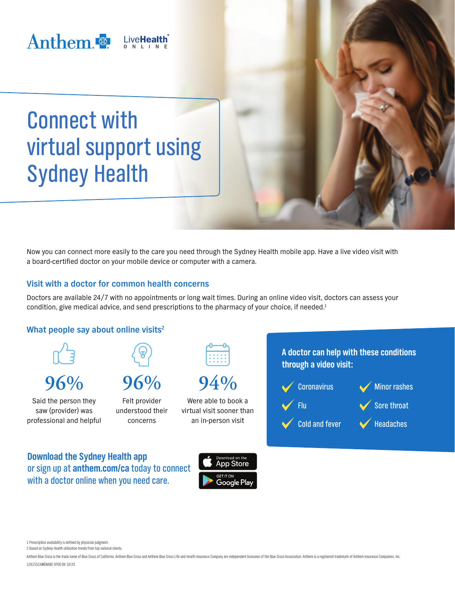

Connect with virtual support using Sydney Health

Now you can connect more easily to the care you need through the Sydney Health mobile app. Have a live video visit with a board-certified doctor on your mobile device or computer with a camera.

#### **Visit with a doctor for common health concerns**

Doctors are available 24/7 with no appointments or long wait times. During an online video visit, doctors can assess your condition, give medical advice, and send prescriptions to the pharmacy of your choice, if needed.<sup>1</sup>



**Download the Sydney Health app**  or sign up at **[anthem.com/ca](http://anthem.com/ca)** today to connect with a doctor online when you need care.





1 Prescription availability is defined by physician judgment.

2 Based on Sydney Health utilization trends from top national clients.

Anthem Blue Cross is the trade name of Blue Cross of California. Anthem Blue Cross and Anthem Blue Cross Life and Health Insurance Company are independent licensees of the Blue Cross Association. Anthem is a registered tra 128255CAMENABC VPOD BV 10/20